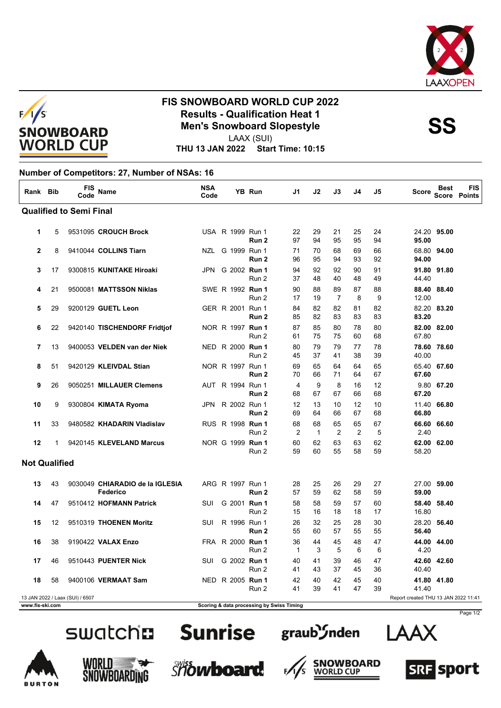



## **FIS SNOWBOARD WORLD CUP 2022 Results - Qualification Heat 1**<br>
Men's Snowboard Slopestyle<br>
UAAY (SUI)

LAAX (SUI)

**THU 13 JAN 2022 Start Time: 10:15**

## **Number of Competitors: 27, Number of NSAs: 16**

| Rank Bib             |    | FIS<br>Code                     | <b>Name</b>                                 | <b>NSA</b><br>Code |  | <b>YB Run</b>                             | J1                   | J2                 | J3                   | J4       | J5       | <b>Score</b>                         | <b>Best</b> | <b>FIS</b><br>Score Points |
|----------------------|----|---------------------------------|---------------------------------------------|--------------------|--|-------------------------------------------|----------------------|--------------------|----------------------|----------|----------|--------------------------------------|-------------|----------------------------|
|                      |    | <b>Qualified to Semi Final</b>  |                                             |                    |  |                                           |                      |                    |                      |          |          |                                      |             |                            |
| 1                    | 5  |                                 | 9531095 CROUCH Brock                        |                    |  | USA R 1999 Run 1<br>Run 2                 | 22<br>97             | 29<br>94           | 21<br>95             | 25<br>95 | 24<br>94 | 95.00                                | 24.20 95.00 |                            |
| $\mathbf{2}$         | 8  |                                 | 9410044 COLLINS Tiarn                       |                    |  | NZL G 1999 Run 1<br>Run <sub>2</sub>      | 71<br>96             | 70<br>95           | 68<br>94             | 69<br>93 | 66<br>92 | 94.00                                | 68.80 94.00 |                            |
| 3                    | 17 |                                 | 9300815 KUNITAKE Hiroaki                    | JPN                |  | G 2002 <b>Run 1</b><br>Run 2              | 94<br>37             | 92<br>48           | 92<br>40             | 90<br>48 | 91<br>49 | 44.40                                | 91.80 91.80 |                            |
| 4                    | 21 |                                 | 9500081 MATTSSON Niklas                     |                    |  | SWE R 1992 Run 1<br>Run 2                 | 90<br>17             | 88<br>19           | 89<br>7              | 87<br>8  | 88<br>9  | 12.00                                | 88.40 88.40 |                            |
| 5                    | 29 |                                 | 9200129 GUETL Leon                          |                    |  | GER R 2001 Run 1<br>Run <sub>2</sub>      | 84<br>85             | 82<br>82           | 82<br>83             | 81<br>83 | 82<br>83 | 83.20                                | 82.20 83.20 |                            |
| 6                    | 22 |                                 | 9420140 TISCHENDORF Fridtjof                |                    |  | NOR R 1997 <b>Run 1</b><br>Run 2          | 87<br>61             | 85<br>75           | 80<br>75             | 78<br>60 | 80<br>68 | 67.80                                | 82.00 82.00 |                            |
| 7                    | 13 |                                 | 9400053 VELDEN van der Niek                 |                    |  | NED R 2000 Run 1<br>Run 2                 | 80<br>45             | 79<br>37           | 79<br>41             | 77<br>38 | 78<br>39 | 40.00                                | 78.60 78.60 |                            |
| 8                    | 51 |                                 | 9420129 KLEIVDAL Stian                      |                    |  | NOR R 1997 Run 1<br>Run 2                 | 69<br>70             | 65<br>66           | 64<br>71             | 64<br>64 | 65<br>67 | 67.60                                | 65.40 67.60 |                            |
| 9                    | 26 |                                 | 9050251 MILLAUER Clemens                    |                    |  | AUT R 1994 Run 1<br>Run 2                 | 4<br>68              | 9<br>67            | 8<br>67              | 16<br>66 | 12<br>68 | 67.20                                | 9.80 67.20  |                            |
| 10                   | 9  |                                 | 9300804 KIMATA Ryoma                        | JPN                |  | R 2002 Run 1<br>Run <sub>2</sub>          | 12<br>69             | 13<br>64           | 10<br>66             | 12<br>67 | 10<br>68 | 66.80                                | 11.40 66.80 |                            |
| 11                   | 33 |                                 | 9480582 KHADARIN Vladislav                  |                    |  | RUS R 1998 Run 1<br>Run 2                 | 68<br>$\overline{2}$ | 68<br>$\mathbf{1}$ | 65<br>$\overline{2}$ | 65<br>2  | 67<br>5  | 2.40                                 | 66.60 66.60 |                            |
| 12                   | 1  |                                 | 9420145 KLEVELAND Marcus                    |                    |  | NOR G 1999 Run 1<br>Run 2                 | 60<br>59             | 62<br>60           | 63<br>55             | 63<br>58 | 62<br>59 | 58.20                                | 62.00 62.00 |                            |
| <b>Not Qualified</b> |    |                                 |                                             |                    |  |                                           |                      |                    |                      |          |          |                                      |             |                            |
| 13                   | 43 |                                 | 9030049 CHIARADIO de la IGLESIA<br>Federico |                    |  | ARG R 1997 Run 1<br>Run 2                 | 28<br>57             | 25<br>59           | 26<br>62             | 29<br>58 | 27<br>59 | 59.00                                | 27.00 59.00 |                            |
| 14                   | 47 |                                 | 9510412 HOFMANN Patrick                     | <b>SUI</b>         |  | G 2001 Run 1<br>Run 2                     | 58<br>15             | 58<br>16           | 59<br>18             | 57<br>18 | 60<br>17 | 16.80                                | 58.40 58.40 |                            |
| 15                   | 12 |                                 | 9510319 THOENEN Moritz                      | SUI                |  | R 1996 Run 1<br>Run 2                     | 26<br>55             | 32<br>60           | 25<br>57             | 28<br>55 | 30<br>55 | 56.40                                | 28.20 56.40 |                            |
| 16                   | 38 |                                 | 9190422 VALAX Enzo                          |                    |  | FRA R 2000 Run 1<br>Run 2                 | 36<br>$\mathbf{1}$   | 44<br>3            | 45<br>5              | 48<br>6  | 47<br>6  | 4.20                                 | 44.00 44.00 |                            |
| 17                   | 46 |                                 | 9510443 PUENTER Nick                        | <b>SUI</b>         |  | G 2002 Run 1<br>Run 2                     | 40<br>41             | 41<br>43           | 39<br>37             | 46<br>45 | 47<br>36 | 40.40                                | 42.60 42.60 |                            |
| 18                   | 58 |                                 | 9400106 VERMAAT Sam                         |                    |  | NED R 2005 Run 1<br>Run 2                 | 42<br>41             | 40<br>39           | 42<br>41             | 45<br>47 | 40<br>39 | 41.40                                | 41.80 41.80 |                            |
| www.fis-ski.com      |    | 13 JAN 2022 / Laax (SUI) / 6507 |                                             |                    |  | Scoring & data processing by Swiss Timing |                      |                    |                      |          |          | Report created THU 13 JAN 2022 11:41 |             |                            |

















Page 1/2